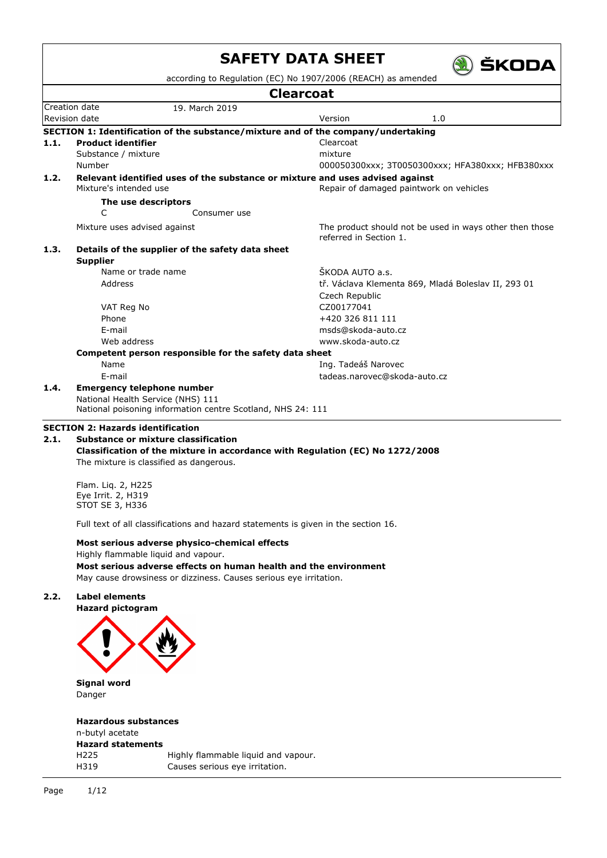|      |                                          | according to Regulation (EC) No 1907/2006 (REACH) as amended                      |                              |                                                         |  |  |  |  |  |
|------|------------------------------------------|-----------------------------------------------------------------------------------|------------------------------|---------------------------------------------------------|--|--|--|--|--|
|      | <b>Clearcoat</b>                         |                                                                                   |                              |                                                         |  |  |  |  |  |
|      | Creation date                            | 19. March 2019                                                                    |                              |                                                         |  |  |  |  |  |
|      | Revision date                            |                                                                                   | Version                      | 1.0                                                     |  |  |  |  |  |
|      |                                          | SECTION 1: Identification of the substance/mixture and of the company/undertaking |                              |                                                         |  |  |  |  |  |
| 1.1. | <b>Product identifier</b>                |                                                                                   | Clearcoat                    |                                                         |  |  |  |  |  |
|      | Substance / mixture                      |                                                                                   | mixture                      |                                                         |  |  |  |  |  |
|      | Number                                   |                                                                                   |                              | 000050300xxx; 3T0050300xxx; HFA380xxx; HFB380xxx        |  |  |  |  |  |
| 1.2. |                                          | Relevant identified uses of the substance or mixture and uses advised against     |                              |                                                         |  |  |  |  |  |
|      | Mixture's intended use                   |                                                                                   |                              | Repair of damaged paintwork on vehicles                 |  |  |  |  |  |
|      | The use descriptors                      |                                                                                   |                              |                                                         |  |  |  |  |  |
|      | C                                        | Consumer use                                                                      |                              |                                                         |  |  |  |  |  |
|      | Mixture uses advised against             |                                                                                   | referred in Section 1.       | The product should not be used in ways other then those |  |  |  |  |  |
| 1.3. | <b>Supplier</b>                          | Details of the supplier of the safety data sheet                                  |                              |                                                         |  |  |  |  |  |
|      | Name or trade name                       |                                                                                   | ŠKODA AUTO a.s.              |                                                         |  |  |  |  |  |
|      | Address                                  |                                                                                   |                              | tř. Václava Klementa 869, Mladá Boleslav II, 293 01     |  |  |  |  |  |
|      |                                          |                                                                                   | Czech Republic               |                                                         |  |  |  |  |  |
|      | VAT Reg No                               |                                                                                   | CZ00177041                   |                                                         |  |  |  |  |  |
|      | Phone                                    |                                                                                   | +420 326 811 111             |                                                         |  |  |  |  |  |
|      | E-mail                                   |                                                                                   | msds@skoda-auto.cz           |                                                         |  |  |  |  |  |
|      | Web address                              |                                                                                   | www.skoda-auto.cz            |                                                         |  |  |  |  |  |
|      |                                          | Competent person responsible for the safety data sheet                            |                              |                                                         |  |  |  |  |  |
|      | Name                                     |                                                                                   | Ing. Tadeáš Narovec          |                                                         |  |  |  |  |  |
|      | E-mail                                   |                                                                                   | tadeas.narovec@skoda-auto.cz |                                                         |  |  |  |  |  |
| 1.4. | <b>Emergency telephone number</b>        |                                                                                   |                              |                                                         |  |  |  |  |  |
|      | National Health Service (NHS) 111        |                                                                                   |                              |                                                         |  |  |  |  |  |
|      |                                          | National poisoning information centre Scotland, NHS 24: 111                       |                              |                                                         |  |  |  |  |  |
|      | <b>SECTION 2: Hazards identification</b> |                                                                                   |                              |                                                         |  |  |  |  |  |
|      | Substance or mixture classification      |                                                                                   |                              |                                                         |  |  |  |  |  |
| 2.1. |                                          |                                                                                   |                              |                                                         |  |  |  |  |  |

Flam. Liq. 2, H225 Eye Irrit. 2, H319 STOT SE 3, H336

Full text of all classifications and hazard statements is given in the section 16.

**Most serious adverse physico-chemical effects** Highly flammable liquid and vapour. **Most serious adverse effects on human health and the environment**

May cause drowsiness or dizziness. Causes serious eye irritation.

## **2.2. Label elements**

**Hazard pictogram**



**Signal word** Danger

# **Hazardous substances**

n-butyl acetate **Hazard statements** H225 Highly flammable liquid and vapour. H319 Causes serious eye irritation.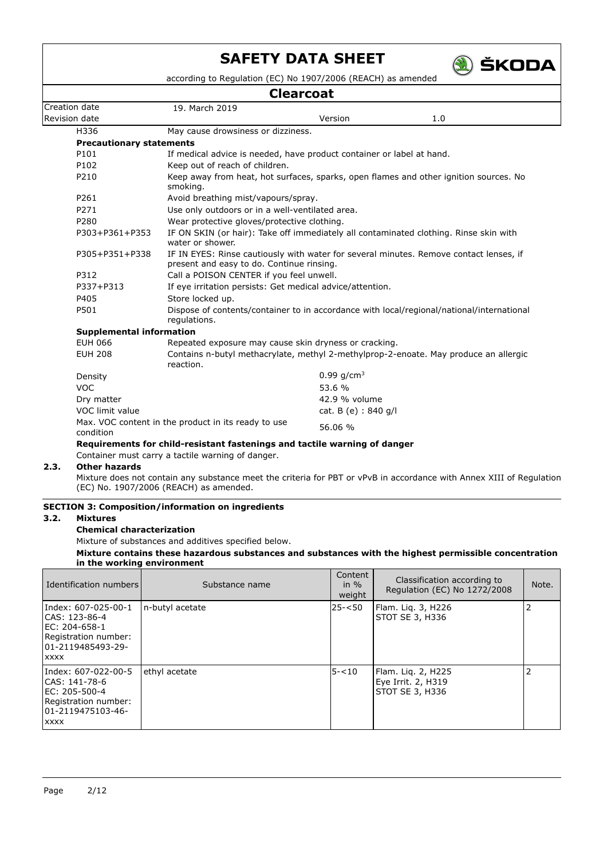

according to Regulation (EC) No 1907/2006 (REACH) as amended

| <b>Clearcoat</b>                |                                                                       |                                             |                                                                                           |  |  |  |
|---------------------------------|-----------------------------------------------------------------------|---------------------------------------------|-------------------------------------------------------------------------------------------|--|--|--|
| Creation date                   | 19. March 2019                                                        |                                             |                                                                                           |  |  |  |
| Revision date                   |                                                                       | Version                                     | 1.0                                                                                       |  |  |  |
| H336                            | May cause drowsiness or dizziness.                                    |                                             |                                                                                           |  |  |  |
| <b>Precautionary statements</b> |                                                                       |                                             |                                                                                           |  |  |  |
| P101                            | If medical advice is needed, have product container or label at hand. |                                             |                                                                                           |  |  |  |
| P102                            | Keep out of reach of children.                                        |                                             |                                                                                           |  |  |  |
| P210                            | smoking.                                                              |                                             | Keep away from heat, hot surfaces, sparks, open flames and other ignition sources. No     |  |  |  |
| P261                            | Avoid breathing mist/vapours/spray.                                   |                                             |                                                                                           |  |  |  |
| P271                            | Use only outdoors or in a well-ventilated area.                       |                                             |                                                                                           |  |  |  |
| P280                            |                                                                       | Wear protective gloves/protective clothing. |                                                                                           |  |  |  |
| P303+P361+P353                  | water or shower.                                                      |                                             | IF ON SKIN (or hair): Take off immediately all contaminated clothing. Rinse skin with     |  |  |  |
| P305+P351+P338                  | present and easy to do. Continue rinsing.                             |                                             | IF IN EYES: Rinse cautiously with water for several minutes. Remove contact lenses, if    |  |  |  |
| P312                            | Call a POISON CENTER if you feel unwell.                              |                                             |                                                                                           |  |  |  |
| P337+P313                       | If eye irritation persists: Get medical advice/attention.             |                                             |                                                                                           |  |  |  |
| P405                            | Store locked up.                                                      |                                             |                                                                                           |  |  |  |
| P501                            | regulations.                                                          |                                             | Dispose of contents/container to in accordance with local/regional/national/international |  |  |  |
| <b>Supplemental information</b> |                                                                       |                                             |                                                                                           |  |  |  |
| <b>EUH 066</b>                  | Repeated exposure may cause skin dryness or cracking.                 |                                             |                                                                                           |  |  |  |
| <b>EUH 208</b>                  | reaction.                                                             |                                             | Contains n-butyl methacrylate, methyl 2-methylprop-2-enoate. May produce an allergic      |  |  |  |
| Density                         |                                                                       | 0.99 $g/cm^3$                               |                                                                                           |  |  |  |
| <b>VOC</b>                      |                                                                       | 53.6 %                                      |                                                                                           |  |  |  |
| Dry matter                      |                                                                       | 42.9 % volume                               |                                                                                           |  |  |  |
| VOC limit value                 |                                                                       | cat. B (e) : 840 g/l                        |                                                                                           |  |  |  |
| condition                       | Max. VOC content in the product in its ready to use                   | 56.06 %                                     |                                                                                           |  |  |  |

#### **Requirements for child-resistant fastenings and tactile warning of danger**

Container must carry a tactile warning of danger.

## **2.3. Other hazards**

Mixture does not contain any substance meet the criteria for PBT or vPvB in accordance with Annex XIII of Regulation (EC) No. 1907/2006 (REACH) as amended.

#### **SECTION 3: Composition/information on ingredients**

### **3.2. Mixtures**

# **Chemical characterization**

Mixture of substances and additives specified below.

#### **Mixture contains these hazardous substances and substances with the highest permissible concentration in the working environment**

| I Identification numbers                                                                                           | Substance name  | Content<br>in $\%$<br>weight | Classification according to<br>Regulation (EC) No 1272/2008 | Note.          |
|--------------------------------------------------------------------------------------------------------------------|-----------------|------------------------------|-------------------------------------------------------------|----------------|
| Index: 607-025-00-1<br>CAS: 123-86-4<br>EC: 204-658-1<br>Registration number:<br>101-2119485493-29-<br><b>XXXX</b> | n-butyl acetate | 25-<50                       | Flam. Lig. 3, H226<br>STOT SE 3, H336                       | $\overline{2}$ |
| Index: 607-022-00-5<br>ICAS: 141-78-6<br>EC: 205-500-4<br>Registration number:<br>01-2119475103-46-<br><b>XXXX</b> | ethyl acetate   | $5 - 10$                     | Flam. Lig. 2, H225<br>Eye Irrit. 2, H319<br>STOT SE 3, H336 |                |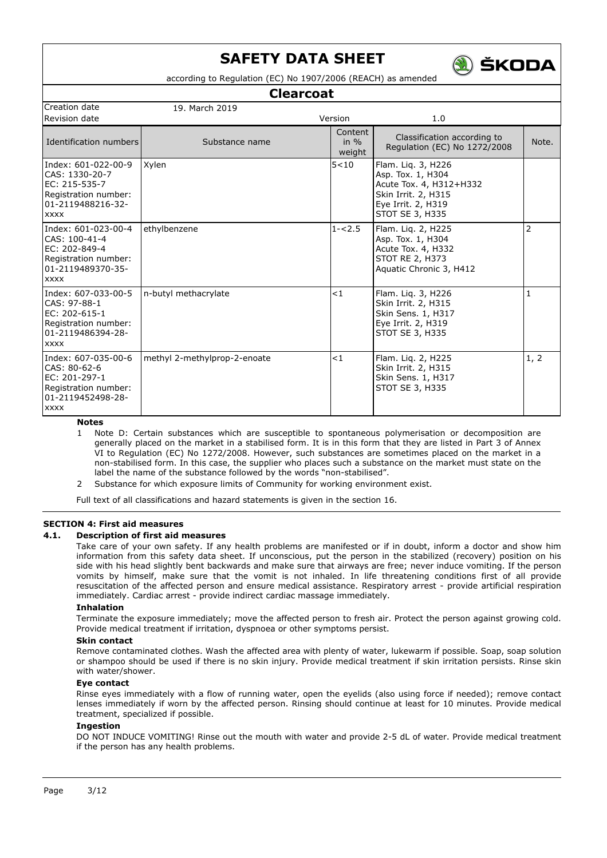

according to Regulation (EC) No 1907/2006 (REACH) as amended

### **Clearcoat**

| Creation date                                                                                                      | 19. March 2019               |                              |                                                                                                                                    |                |
|--------------------------------------------------------------------------------------------------------------------|------------------------------|------------------------------|------------------------------------------------------------------------------------------------------------------------------------|----------------|
| Revision date                                                                                                      |                              | Version                      | 1.0                                                                                                                                |                |
| Identification numbers                                                                                             | Substance name               | Content<br>in $\%$<br>weight | Classification according to<br>Regulation (EC) No 1272/2008                                                                        | Note.          |
| Index: 601-022-00-9<br>CAS: 1330-20-7<br>EC: 215-535-7<br>Registration number:<br>01-2119488216-32-<br><b>XXXX</b> | Xylen                        | 5 < 10                       | Flam. Lig. 3, H226<br>Asp. Tox. 1, H304<br>Acute Tox. 4, H312+H332<br>Skin Irrit. 2, H315<br>Eye Irrit. 2, H319<br>STOT SE 3, H335 |                |
| Index: 601-023-00-4<br>CAS: 100-41-4<br>EC: 202-849-4<br>Registration number:<br>01-2119489370-35-<br><b>XXXX</b>  | ethylbenzene                 | $1 - 2.5$                    | Flam. Liq. 2, H225<br>Asp. Tox. 1, H304<br>Acute Tox. 4, H332<br><b>STOT RE 2, H373</b><br>Aquatic Chronic 3, H412                 | $\overline{2}$ |
| Index: 607-033-00-5<br>CAS: 97-88-1<br>EC: 202-615-1<br>Registration number:<br>01-2119486394-28-<br><b>XXXX</b>   | n-butyl methacrylate         | < 1                          | Flam. Liq. 3, H226<br>Skin Irrit. 2, H315<br>Skin Sens. 1, H317<br>Eye Irrit. 2, H319<br>STOT SE 3, H335                           | 1              |
| Index: 607-035-00-6<br>CAS: 80-62-6<br>EC: 201-297-1<br>Registration number:<br>01-2119452498-28-<br><b>XXXX</b>   | methyl 2-methylprop-2-enoate | $\lt 1$                      | Flam. Liq. 2, H225<br>Skin Irrit. 2, H315<br>Skin Sens. 1, H317<br>STOT SE 3, H335                                                 | 1, 2           |

**Notes**

- 1 Note D: Certain substances which are susceptible to spontaneous polymerisation or decomposition are generally placed on the market in a stabilised form. It is in this form that they are listed in Part 3 of Annex VI to Regulation (EC) No 1272/2008. However, such substances are sometimes placed on the market in a non-stabilised form. In this case, the supplier who places such a substance on the market must state on the label the name of the substance followed by the words "non-stabilised".
- 2 Substance for which exposure limits of Community for working environment exist.

Full text of all classifications and hazard statements is given in the section 16.

#### **SECTION 4: First aid measures**

#### **4.1. Description of first aid measures**

Take care of your own safety. If any health problems are manifested or if in doubt, inform a doctor and show him information from this safety data sheet. If unconscious, put the person in the stabilized (recovery) position on his side with his head slightly bent backwards and make sure that airways are free; never induce vomiting. If the person vomits by himself, make sure that the vomit is not inhaled. In life threatening conditions first of all provide resuscitation of the affected person and ensure medical assistance. Respiratory arrest - provide artificial respiration immediately. Cardiac arrest - provide indirect cardiac massage immediately.

#### **Inhalation**

Terminate the exposure immediately; move the affected person to fresh air. Protect the person against growing cold. Provide medical treatment if irritation, dyspnoea or other symptoms persist.

#### **Skin contact**

Remove contaminated clothes. Wash the affected area with plenty of water, lukewarm if possible. Soap, soap solution or shampoo should be used if there is no skin injury. Provide medical treatment if skin irritation persists. Rinse skin with water/shower.

#### **Eye contact**

Rinse eyes immediately with a flow of running water, open the eyelids (also using force if needed); remove contact lenses immediately if worn by the affected person. Rinsing should continue at least for 10 minutes. Provide medical treatment, specialized if possible.

#### **Ingestion**

DO NOT INDUCE VOMITING! Rinse out the mouth with water and provide 2-5 dL of water. Provide medical treatment if the person has any health problems.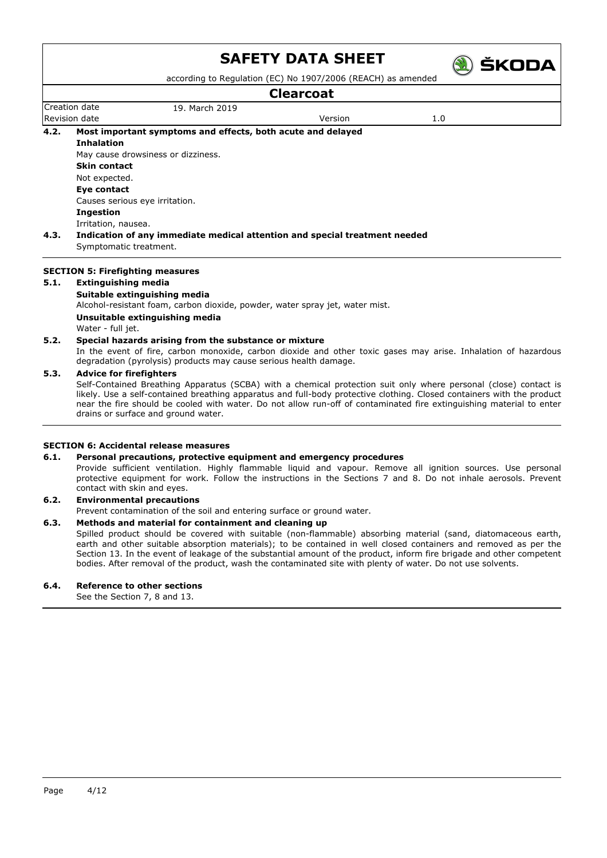

**A) ŠKODA** 

# **Clearcoat**

|      |                                         |                                                                                                                | Clearcoat |     |  |
|------|-----------------------------------------|----------------------------------------------------------------------------------------------------------------|-----------|-----|--|
|      | Creation date                           | 19. March 2019                                                                                                 |           |     |  |
|      | <b>Revision date</b>                    |                                                                                                                | Version   | 1.0 |  |
| 4.2. |                                         | Most important symptoms and effects, both acute and delayed                                                    |           |     |  |
|      | <b>Inhalation</b>                       |                                                                                                                |           |     |  |
|      |                                         | May cause drowsiness or dizziness.                                                                             |           |     |  |
|      | <b>Skin contact</b>                     |                                                                                                                |           |     |  |
|      | Not expected.                           |                                                                                                                |           |     |  |
|      | Eye contact                             |                                                                                                                |           |     |  |
|      | Causes serious eye irritation.          |                                                                                                                |           |     |  |
|      | Ingestion                               |                                                                                                                |           |     |  |
|      | Irritation, nausea.                     |                                                                                                                |           |     |  |
| 4.3. |                                         | Indication of any immediate medical attention and special treatment needed                                     |           |     |  |
|      | Symptomatic treatment.                  |                                                                                                                |           |     |  |
|      | <b>SECTION 5: Firefighting measures</b> |                                                                                                                |           |     |  |
| 5.1. | Extinguishing media                     |                                                                                                                |           |     |  |
|      |                                         | Suitable extinguishing media                                                                                   |           |     |  |
|      |                                         | Alcohol-resistant foam, carbon dioxide, powder, water spray jet, water mist.                                   |           |     |  |
|      |                                         | Unsuitable extinguishing media                                                                                 |           |     |  |
|      | Water - full jet.                       |                                                                                                                |           |     |  |
| 5.2. |                                         | Special hazards arising from the substance or mixture                                                          |           |     |  |
|      |                                         | In the event of fire, carbon menovide, carbon dievide and other texic gases may arise. Inhalation of hazardeus |           |     |  |

In the event of fire, carbon monoxide, carbon dioxide and other toxic gases may arise. Inhalation of hazardous degradation (pyrolysis) products may cause serious health damage.

#### **5.3. Advice for firefighters**

Self-Contained Breathing Apparatus (SCBA) with a chemical protection suit only where personal (close) contact is likely. Use a self-contained breathing apparatus and full-body protective clothing. Closed containers with the product near the fire should be cooled with water. Do not allow run-off of contaminated fire extinguishing material to enter drains or surface and ground water.

#### **SECTION 6: Accidental release measures**

#### **6.1. Personal precautions, protective equipment and emergency procedures**

Provide sufficient ventilation. Highly flammable liquid and vapour. Remove all ignition sources. Use personal protective equipment for work. Follow the instructions in the Sections 7 and 8. Do not inhale aerosols. Prevent contact with skin and eyes.

#### **6.2. Environmental precautions**

Prevent contamination of the soil and entering surface or ground water.

#### **6.3. Methods and material for containment and cleaning up**

Spilled product should be covered with suitable (non-flammable) absorbing material (sand, diatomaceous earth, earth and other suitable absorption materials); to be contained in well closed containers and removed as per the Section 13. In the event of leakage of the substantial amount of the product, inform fire brigade and other competent bodies. After removal of the product, wash the contaminated site with plenty of water. Do not use solvents.

#### **6.4. Reference to other sections**

See the Section 7, 8 and 13.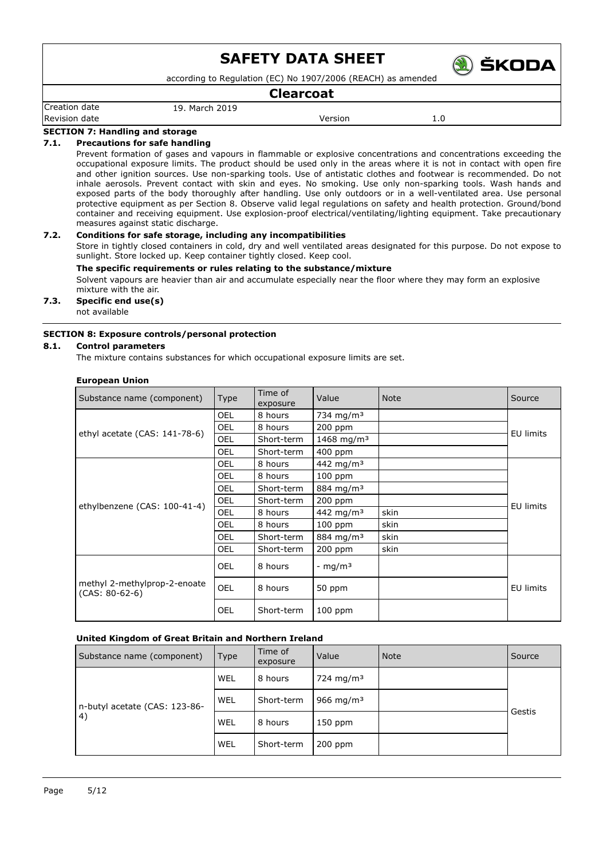according to Regulation (EC) No 1907/2006 (REACH) as amended

#### **Clearcoat**

Creation date 19. March 2019 Revision date **Network** 1.0

**ŠKODA** 

#### **SECTION 7: Handling and storage**

#### **7.1. Precautions for safe handling**

Prevent formation of gases and vapours in flammable or explosive concentrations and concentrations exceeding the occupational exposure limits. The product should be used only in the areas where it is not in contact with open fire and other ignition sources. Use non-sparking tools. Use of antistatic clothes and footwear is recommended. Do not inhale aerosols. Prevent contact with skin and eyes. No smoking. Use only non-sparking tools. Wash hands and exposed parts of the body thoroughly after handling. Use only outdoors or in a well-ventilated area. Use personal protective equipment as per Section 8. Observe valid legal regulations on safety and health protection. Ground/bond container and receiving equipment. Use explosion-proof electrical/ventilating/lighting equipment. Take precautionary measures against static discharge.

### **7.2. Conditions for safe storage, including any incompatibilities**

Store in tightly closed containers in cold, dry and well ventilated areas designated for this purpose. Do not expose to sunlight. Store locked up. Keep container tightly closed. Keep cool.

#### **The specific requirements or rules relating to the substance/mixture**

Solvent vapours are heavier than air and accumulate especially near the floor where they may form an explosive mixture with the air.

#### **7.3. Specific end use(s)** not available

#### **SECTION 8: Exposure controls/personal protection**

#### **8.1. Control parameters**

The mixture contains substances for which occupational exposure limits are set.

#### **European Union**

| Substance name (component)                       | <b>Type</b> | Time of<br>exposure | Value                  | <b>Note</b> | Source           |
|--------------------------------------------------|-------------|---------------------|------------------------|-------------|------------------|
|                                                  | <b>OEL</b>  | 8 hours             | 734 mg/m <sup>3</sup>  |             |                  |
|                                                  | OEL         | 8 hours             | 200 ppm                |             | <b>EU limits</b> |
| ethyl acetate (CAS: 141-78-6)                    | OEL         | Short-term          | 1468 mg/m <sup>3</sup> |             |                  |
|                                                  | OEL         | Short-term          | 400 ppm                |             |                  |
|                                                  | OEL         | 8 hours             | 442 mg/m <sup>3</sup>  |             |                  |
|                                                  | <b>OEL</b>  | 8 hours             | $100$ ppm              |             |                  |
|                                                  | <b>OEL</b>  | Short-term          | 884 mg/m <sup>3</sup>  |             |                  |
|                                                  | OEL         | Short-term          | 200 ppm                |             |                  |
| ethylbenzene (CAS: 100-41-4)                     | OEL         | 8 hours             | 442 mg/m <sup>3</sup>  | skin        | <b>EU limits</b> |
|                                                  | OEL         | 8 hours             | $100$ ppm              | skin        |                  |
|                                                  | OEL         | Short-term          | 884 mg/m <sup>3</sup>  | skin        |                  |
|                                                  | OEL         | Short-term          | 200 ppm                | skin        |                  |
|                                                  | OEL         | 8 hours             | - $mq/m3$              |             |                  |
| methyl 2-methylprop-2-enoate<br>$(CAS: 80-62-6)$ | <b>OEL</b>  | 8 hours             | 50 ppm                 |             | EU limits        |
|                                                  | OEL         | Short-term          | $100$ ppm              |             |                  |

#### **United Kingdom of Great Britain and Northern Ireland**

| Substance name (component)          | Type       | Time of<br>exposure | Value                 | <b>Note</b> | Source |
|-------------------------------------|------------|---------------------|-----------------------|-------------|--------|
|                                     | WEL        | 8 hours             | 724 mg/m <sup>3</sup> |             |        |
| n-butyl acetate (CAS: 123-86-<br>4) | <b>WEL</b> | Short-term          | 966 mg/m <sup>3</sup> |             | Gestis |
|                                     | WEL        | 8 hours             | 150 ppm               |             |        |
|                                     | WEL        | Short-term          | 200 ppm               |             |        |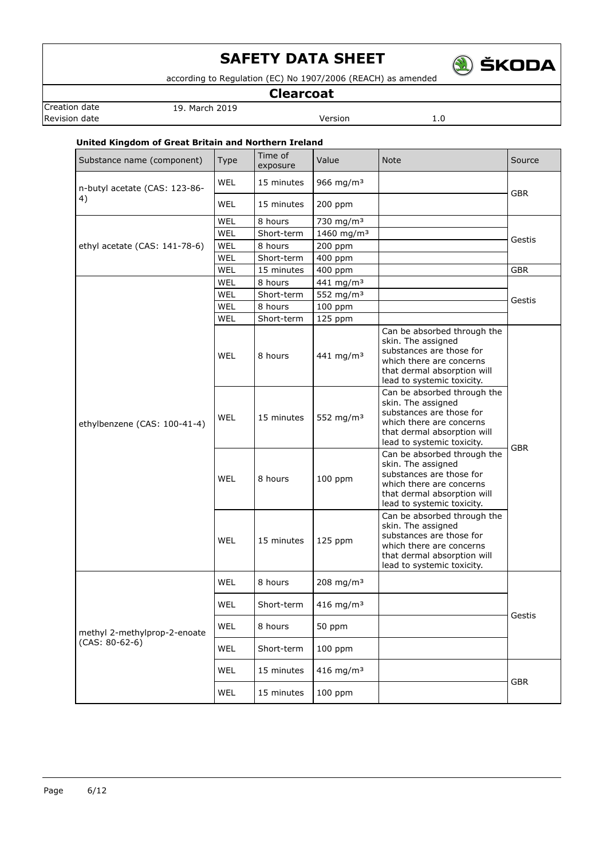

according to Regulation (EC) No 1907/2006 (REACH) as amended

**Clearcoat**

Creation date 19. March 2019

**Revision date Version** 1.0

# **United Kingdom of Great Britain and Northern Ireland**

| Substance name (component)    | <b>Type</b> | Time of<br>exposure | Value                  | <b>Note</b>                                                                                                                                                            | Source     |  |
|-------------------------------|-------------|---------------------|------------------------|------------------------------------------------------------------------------------------------------------------------------------------------------------------------|------------|--|
| n-butyl acetate (CAS: 123-86- | WEL         | 15 minutes          | 966 mg/m <sup>3</sup>  |                                                                                                                                                                        | <b>GBR</b> |  |
| 4)                            | <b>WEL</b>  | 15 minutes          | 200 ppm                |                                                                                                                                                                        |            |  |
|                               | WEL         | 8 hours             | 730 mg/m <sup>3</sup>  |                                                                                                                                                                        |            |  |
|                               | WEL         | Short-term          | 1460 mg/m <sup>3</sup> |                                                                                                                                                                        | Gestis     |  |
| ethyl acetate (CAS: 141-78-6) | WEL         | 8 hours             | 200 ppm                |                                                                                                                                                                        |            |  |
|                               | WEL         | Short-term          | 400 ppm                |                                                                                                                                                                        |            |  |
|                               | WEL         | 15 minutes          | 400 ppm                |                                                                                                                                                                        | <b>GBR</b> |  |
|                               | WEL         | 8 hours             | 441 mg/m <sup>3</sup>  |                                                                                                                                                                        | Gestis     |  |
|                               | WEL         | Short-term          | 552 mg/m <sup>3</sup>  |                                                                                                                                                                        |            |  |
|                               | WEL         | 8 hours             | 100 ppm                |                                                                                                                                                                        |            |  |
|                               | WEL         | Short-term          | 125 ppm                |                                                                                                                                                                        |            |  |
| ethylbenzene (CAS: 100-41-4)  | <b>WEL</b>  | 8 hours             | 441 mg/m <sup>3</sup>  | Can be absorbed through the<br>skin. The assigned<br>substances are those for<br>which there are concerns<br>that dermal absorption will<br>lead to systemic toxicity. |            |  |
|                               | <b>WEL</b>  | 15 minutes          | 552 mg/m <sup>3</sup>  | Can be absorbed through the<br>skin. The assigned<br>substances are those for<br>which there are concerns<br>that dermal absorption will<br>lead to systemic toxicity. |            |  |
|                               | <b>WEL</b>  | 8 hours             | $100$ ppm              | Can be absorbed through the<br>skin. The assigned<br>substances are those for<br>which there are concerns<br>that dermal absorption will<br>lead to systemic toxicity. | <b>GBR</b> |  |
|                               | <b>WEL</b>  | 15 minutes          | 125 ppm                | Can be absorbed through the<br>skin. The assigned<br>substances are those for<br>which there are concerns<br>that dermal absorption will<br>lead to systemic toxicity. |            |  |
|                               | WEL         | 8 hours             | 208 mg/m <sup>3</sup>  |                                                                                                                                                                        |            |  |
|                               | WEL         | Short-term          | 416 mg/m <sup>3</sup>  |                                                                                                                                                                        |            |  |
| methyl 2-methylprop-2-enoate  | WEL         | 8 hours             | 50 ppm                 |                                                                                                                                                                        | Gestis     |  |
| $(CAS: 80-62-6)$              | WEL         | Short-term          | $100$ ppm              |                                                                                                                                                                        |            |  |
|                               | <b>WEL</b>  | 15 minutes          | 416 mg/m <sup>3</sup>  |                                                                                                                                                                        |            |  |
|                               | WEL         | 15 minutes          | 100 ppm                |                                                                                                                                                                        | <b>GBR</b> |  |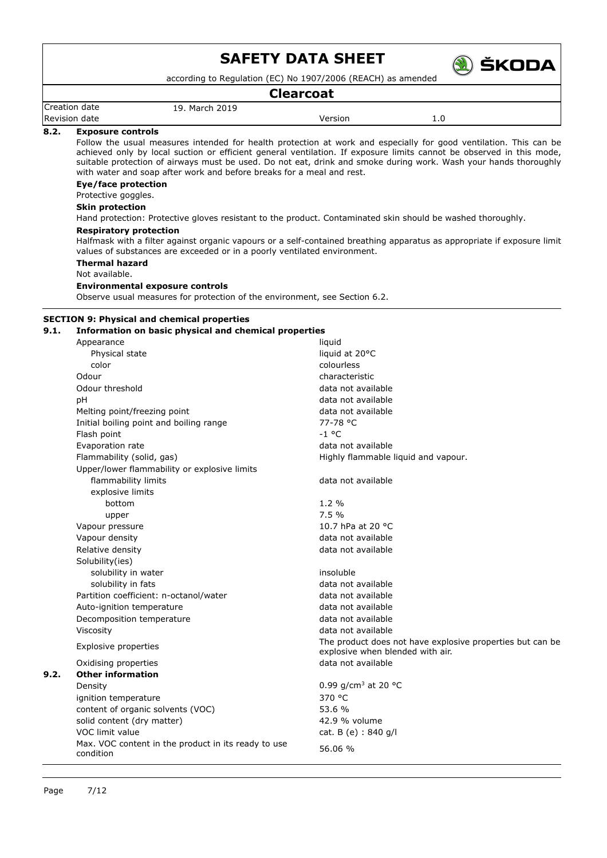

according to Regulation (EC) No 1907/2006 (REACH) as amended

### **Clearcoat**

| Creation date | 19. March 2019 |         |     |
|---------------|----------------|---------|-----|
| Revision date |                | Version | 0.ء |

#### **8.2. Exposure controls**

Follow the usual measures intended for health protection at work and especially for good ventilation. This can be achieved only by local suction or efficient general ventilation. If exposure limits cannot be observed in this mode, suitable protection of airways must be used. Do not eat, drink and smoke during work. Wash your hands thoroughly with water and soap after work and before breaks for a meal and rest.

#### **Eye/face protection**

# Protective goggles.

**Skin protection**

Hand protection: Protective gloves resistant to the product. Contaminated skin should be washed thoroughly.

# **Respiratory protection**

Halfmask with a filter against organic vapours or a self-contained breathing apparatus as appropriate if exposure limit values of substances are exceeded or in a poorly ventilated environment.

**Thermal hazard**

#### Not available.

#### **Environmental exposure controls**

Observe usual measures for protection of the environment, see Section 6.2.

#### **SECTION 9: Physical and chemical properties**

#### **9.1. Information on basic physical and chemical properties**

|      | Appearance                                                       | liquid                                                                                        |
|------|------------------------------------------------------------------|-----------------------------------------------------------------------------------------------|
|      | Physical state                                                   | liquid at 20°C                                                                                |
|      | color                                                            | colourless                                                                                    |
|      | Odour                                                            | characteristic                                                                                |
|      | Odour threshold                                                  | data not available                                                                            |
|      | рH                                                               | data not available                                                                            |
|      | Melting point/freezing point                                     | data not available                                                                            |
|      | Initial boiling point and boiling range                          | 77-78 °C                                                                                      |
|      | Flash point                                                      | $-1$ °C                                                                                       |
|      | Evaporation rate                                                 | data not available                                                                            |
|      | Flammability (solid, gas)                                        | Highly flammable liquid and vapour.                                                           |
|      | Upper/lower flammability or explosive limits                     |                                                                                               |
|      | flammability limits                                              | data not available                                                                            |
|      | explosive limits                                                 |                                                                                               |
|      | bottom                                                           | 1.2%                                                                                          |
|      | upper                                                            | 7.5%                                                                                          |
|      | Vapour pressure                                                  | 10.7 hPa at 20 °C                                                                             |
|      | Vapour density                                                   | data not available                                                                            |
|      | Relative density                                                 | data not available                                                                            |
|      | Solubility(ies)                                                  |                                                                                               |
|      | solubility in water                                              | insoluble                                                                                     |
|      | solubility in fats                                               | data not available                                                                            |
|      | Partition coefficient: n-octanol/water                           | data not available                                                                            |
|      | Auto-ignition temperature                                        | data not available                                                                            |
|      | Decomposition temperature                                        | data not available                                                                            |
|      | Viscosity                                                        | data not available                                                                            |
|      | Explosive properties                                             | The product does not have explosive properties but can be<br>explosive when blended with air. |
|      | Oxidising properties                                             | data not available                                                                            |
| 9.2. | <b>Other information</b>                                         |                                                                                               |
|      | Density                                                          | 0.99 g/cm <sup>3</sup> at 20 °C                                                               |
|      | ignition temperature                                             | 370 °C                                                                                        |
|      | content of organic solvents (VOC)                                | 53.6 %                                                                                        |
|      | solid content (dry matter)                                       | 42.9 % volume                                                                                 |
|      | VOC limit value                                                  | cat. B (e) : 840 g/l                                                                          |
|      | Max. VOC content in the product in its ready to use<br>condition | 56.06 %                                                                                       |
|      |                                                                  |                                                                                               |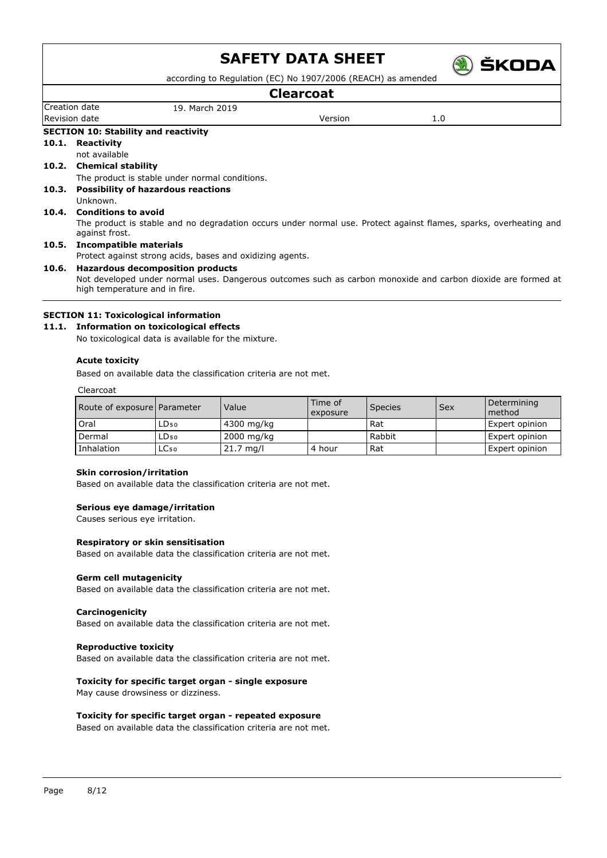

according to Regulation (EC) No 1907/2006 (REACH) as amended

|                |                                                           | <b>Clearcoat</b>                                                                                                                                                                                                                                          |                                                                                                             |                                                                                                                                                                                                                                   |
|----------------|-----------------------------------------------------------|-----------------------------------------------------------------------------------------------------------------------------------------------------------------------------------------------------------------------------------------------------------|-------------------------------------------------------------------------------------------------------------|-----------------------------------------------------------------------------------------------------------------------------------------------------------------------------------------------------------------------------------|
|                | 19. March 2019                                            |                                                                                                                                                                                                                                                           |                                                                                                             |                                                                                                                                                                                                                                   |
|                |                                                           | Version                                                                                                                                                                                                                                                   | 1.0                                                                                                         |                                                                                                                                                                                                                                   |
|                |                                                           |                                                                                                                                                                                                                                                           |                                                                                                             |                                                                                                                                                                                                                                   |
| Reactivity     |                                                           |                                                                                                                                                                                                                                                           |                                                                                                             |                                                                                                                                                                                                                                   |
| not available  |                                                           |                                                                                                                                                                                                                                                           |                                                                                                             |                                                                                                                                                                                                                                   |
|                |                                                           |                                                                                                                                                                                                                                                           |                                                                                                             |                                                                                                                                                                                                                                   |
|                |                                                           |                                                                                                                                                                                                                                                           |                                                                                                             |                                                                                                                                                                                                                                   |
|                |                                                           |                                                                                                                                                                                                                                                           |                                                                                                             |                                                                                                                                                                                                                                   |
| Unknown.       |                                                           |                                                                                                                                                                                                                                                           |                                                                                                             |                                                                                                                                                                                                                                   |
|                |                                                           |                                                                                                                                                                                                                                                           |                                                                                                             |                                                                                                                                                                                                                                   |
| against frost. |                                                           |                                                                                                                                                                                                                                                           |                                                                                                             |                                                                                                                                                                                                                                   |
|                |                                                           |                                                                                                                                                                                                                                                           |                                                                                                             |                                                                                                                                                                                                                                   |
|                |                                                           |                                                                                                                                                                                                                                                           |                                                                                                             |                                                                                                                                                                                                                                   |
|                |                                                           |                                                                                                                                                                                                                                                           |                                                                                                             |                                                                                                                                                                                                                                   |
|                |                                                           |                                                                                                                                                                                                                                                           |                                                                                                             |                                                                                                                                                                                                                                   |
|                | Creation date<br>Revision date<br>10.1.<br>10.2.<br>10.4. | <b>SECTION 10: Stability and reactivity</b><br><b>Chemical stability</b><br><b>Possibility of hazardous reactions</b><br><b>Conditions to avoid</b><br>Incompatible materials<br><b>Hazardous decomposition products</b><br>high temperature and in fire. | The product is stable under normal conditions.<br>Protect against strong acids, bases and oxidizing agents. | The product is stable and no degradation occurs under normal use. Protect against flames, sparks, overheating and<br>Not developed under normal uses. Dangerous outcomes such as carbon monoxide and carbon dioxide are formed at |

### **SECTION 11: Toxicological information**

### **11.1. Information on toxicological effects**

No toxicological data is available for the mixture.

#### **Acute toxicity**

Based on available data the classification criteria are not met.

Clearcoat

| Route of exposure Parameter |                  | Value               | Time of<br>exposure | <b>Species</b> | Sex | Determining<br>method |
|-----------------------------|------------------|---------------------|---------------------|----------------|-----|-----------------------|
| Oral                        | LD50             | 4300 mg/kg          |                     | Rat            |     | Expert opinion        |
| Dermal                      | LD50             | 2000 mg/kg          |                     | Rabbit         |     | Expert opinion        |
| Inhalation                  | LC <sub>50</sub> | $21.7 \text{ mg/l}$ | 4 hour              | Rat            |     | Expert opinion        |

#### **Skin corrosion/irritation**

Based on available data the classification criteria are not met.

#### **Serious eye damage/irritation**

Causes serious eye irritation.

#### **Respiratory or skin sensitisation**

Based on available data the classification criteria are not met.

#### **Germ cell mutagenicity**

Based on available data the classification criteria are not met.

#### **Carcinogenicity**

Based on available data the classification criteria are not met.

#### **Reproductive toxicity**

Based on available data the classification criteria are not met.

# **Toxicity for specific target organ - single exposure**

May cause drowsiness or dizziness.

#### **Toxicity for specific target organ - repeated exposure**

Based on available data the classification criteria are not met.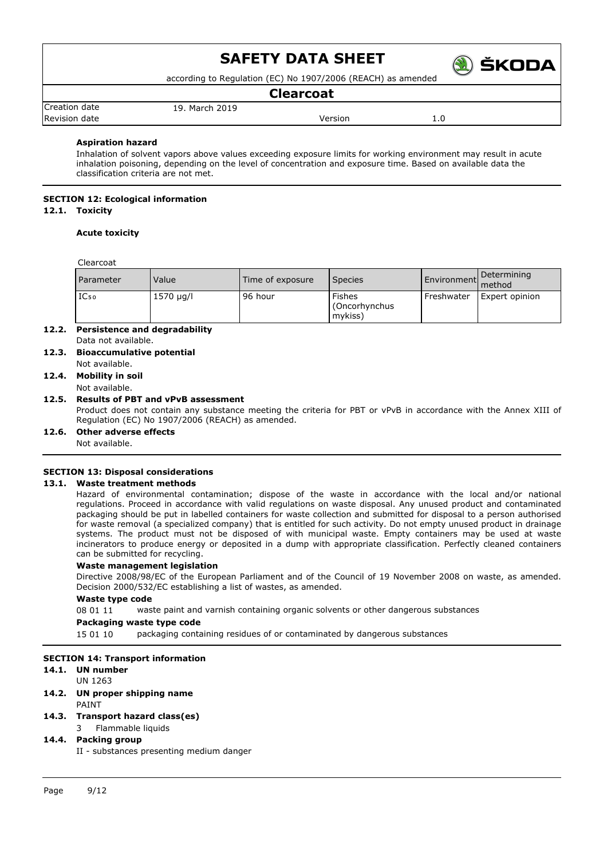

according to Regulation (EC) No 1907/2006 (REACH) as amended

### **Clearcoat**

|                         |                     | ---------- |                      |  |
|-------------------------|---------------------|------------|----------------------|--|
| <b>Creation</b><br>date | 2019<br>March<br>19 |            |                      |  |
| <b>Revision</b><br>date |                     | ersior/    | <b>L.U</b><br>$\sim$ |  |
|                         |                     |            |                      |  |

#### **Aspiration hazard**

Inhalation of solvent vapors above values exceeding exposure limits for working environment may result in acute inhalation poisoning, depending on the level of concentration and exposure time. Based on available data the classification criteria are not met.

# **SECTION 12: Ecological information**

### **12.1. Toxicity**

#### **Acute toxicity**

Clearcoat

| <b>Parameter</b> | Value     | Time of exposure | <b>Species</b>                            |            | Environment Determining |
|------------------|-----------|------------------|-------------------------------------------|------------|-------------------------|
| IC <sub>50</sub> | 1570 µg/l | 96 hour          | <b>Fishes</b><br>(Oncorhynchus<br>mykiss) | Freshwater | Expert opinion          |

- **12.2. Persistence and degradability** Data not available.
- **12.3. Bioaccumulative potential** Not available.

#### **12.4. Mobility in soil**

Not available.

#### **12.5. Results of PBT and vPvB assessment**

Product does not contain any substance meeting the criteria for PBT or vPvB in accordance with the Annex XIII of Regulation (EC) No 1907/2006 (REACH) as amended.

**12.6. Other adverse effects**

Not available.

#### **SECTION 13: Disposal considerations**

#### **13.1. Waste treatment methods**

Hazard of environmental contamination; dispose of the waste in accordance with the local and/or national regulations. Proceed in accordance with valid regulations on waste disposal. Any unused product and contaminated packaging should be put in labelled containers for waste collection and submitted for disposal to a person authorised for waste removal (a specialized company) that is entitled for such activity. Do not empty unused product in drainage systems. The product must not be disposed of with municipal waste. Empty containers may be used at waste incinerators to produce energy or deposited in a dump with appropriate classification. Perfectly cleaned containers can be submitted for recycling.

#### **Waste management legislation**

Directive 2008/98/EC of the European Parliament and of the Council of 19 November 2008 on waste, as amended. Decision 2000/532/EC establishing a list of wastes, as amended.

#### **Waste type code**

08 01 11 waste paint and varnish containing organic solvents or other dangerous substances

**Packaging waste type code**

15 01 10 packaging containing residues of or contaminated by dangerous substances

#### **SECTION 14: Transport information**

#### **14.1. UN number**

UN 1263

**14.2. UN proper shipping name** PAINT

### **14.3. Transport hazard class(es)**

### 3 Flammable liquids

#### **14.4. Packing group**

II - substances presenting medium danger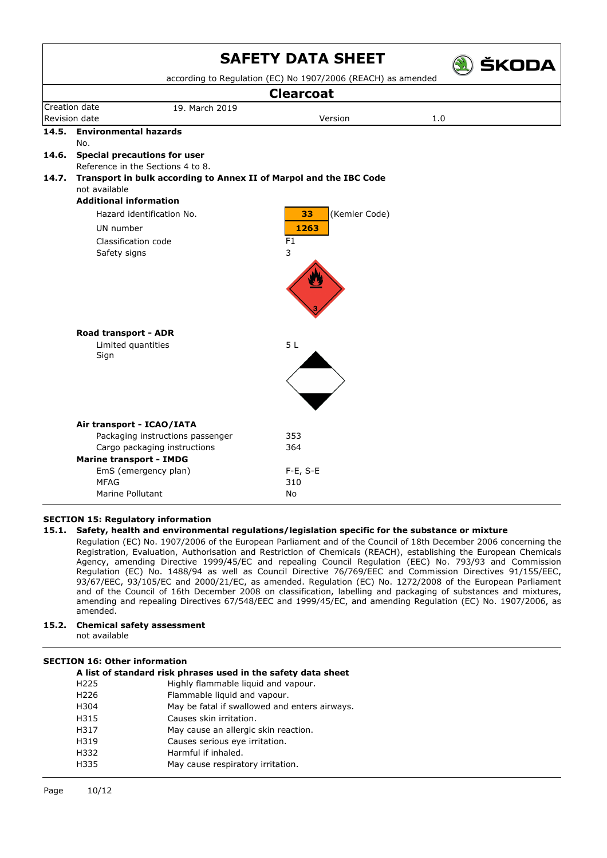|       |                                                                    | <b>SAFETY DATA SHEET</b>                                     | <b>SKODA</b> |  |
|-------|--------------------------------------------------------------------|--------------------------------------------------------------|--------------|--|
|       |                                                                    | according to Regulation (EC) No 1907/2006 (REACH) as amended |              |  |
|       |                                                                    | <b>Clearcoat</b>                                             |              |  |
|       | Creation date<br>19. March 2019                                    |                                                              |              |  |
|       | Revision date                                                      | Version                                                      | 1.0          |  |
| 14.5. | <b>Environmental hazards</b>                                       |                                                              |              |  |
|       | No.                                                                |                                                              |              |  |
|       | 14.6. Special precautions for user                                 |                                                              |              |  |
|       | Reference in the Sections 4 to 8.                                  |                                                              |              |  |
| 14.7. | Transport in bulk according to Annex II of Marpol and the IBC Code |                                                              |              |  |
|       | not available                                                      |                                                              |              |  |
|       | <b>Additional information</b>                                      |                                                              |              |  |
|       | (Kemler Code)<br>Hazard identification No.<br>33                   |                                                              |              |  |
|       | UN number                                                          | 1263                                                         |              |  |
|       | Classification code                                                | F <sub>1</sub>                                               |              |  |
|       | Safety signs                                                       | 3                                                            |              |  |
|       |                                                                    |                                                              |              |  |
|       | Road transport - ADR                                               |                                                              |              |  |
|       | Limited quantities                                                 | 5L                                                           |              |  |
|       | Sign                                                               |                                                              |              |  |
|       |                                                                    |                                                              |              |  |
|       | Air transport - ICAO/IATA                                          |                                                              |              |  |
|       | Packaging instructions passenger                                   | 353                                                          |              |  |
|       | Cargo packaging instructions                                       | 364                                                          |              |  |
|       | <b>Marine transport - IMDG</b>                                     |                                                              |              |  |
|       | EmS (emergency plan)                                               | $F-E$ , S-E                                                  |              |  |
|       | <b>MFAG</b>                                                        | 310                                                          |              |  |
|       | Marine Pollutant                                                   | No                                                           |              |  |

#### **SECTION 15: Regulatory information**

#### **15.1. Safety, health and environmental regulations/legislation specific for the substance or mixture**

Regulation (EC) No. 1907/2006 of the European Parliament and of the Council of 18th December 2006 concerning the Registration, Evaluation, Authorisation and Restriction of Chemicals (REACH), establishing the European Chemicals Agency, amending Directive 1999/45/EC and repealing Council Regulation (EEC) No. 793/93 and Commission Regulation (EC) No. 1488/94 as well as Council Directive 76/769/EEC and Commission Directives 91/155/EEC, 93/67/EEC, 93/105/EC and 2000/21/EC, as amended. Regulation (EC) No. 1272/2008 of the European Parliament and of the Council of 16th December 2008 on classification, labelling and packaging of substances and mixtures, amending and repealing Directives 67/548/EEC and 1999/45/EC, and amending Regulation (EC) No. 1907/2006, as amended.

**15.2. Chemical safety assessment** not available

#### **SECTION 16: Other information**

| A list of standard risk phrases used in the safety data sheet |  |  |
|---------------------------------------------------------------|--|--|
| Highly flammable liquid and vapour.                           |  |  |
| Flammable liquid and vapour.                                  |  |  |
| May be fatal if swallowed and enters airways.                 |  |  |
| Causes skin irritation.                                       |  |  |
| May cause an allergic skin reaction.                          |  |  |
| Causes serious eye irritation.                                |  |  |
| Harmful if inhaled.                                           |  |  |
| May cause respiratory irritation.                             |  |  |
|                                                               |  |  |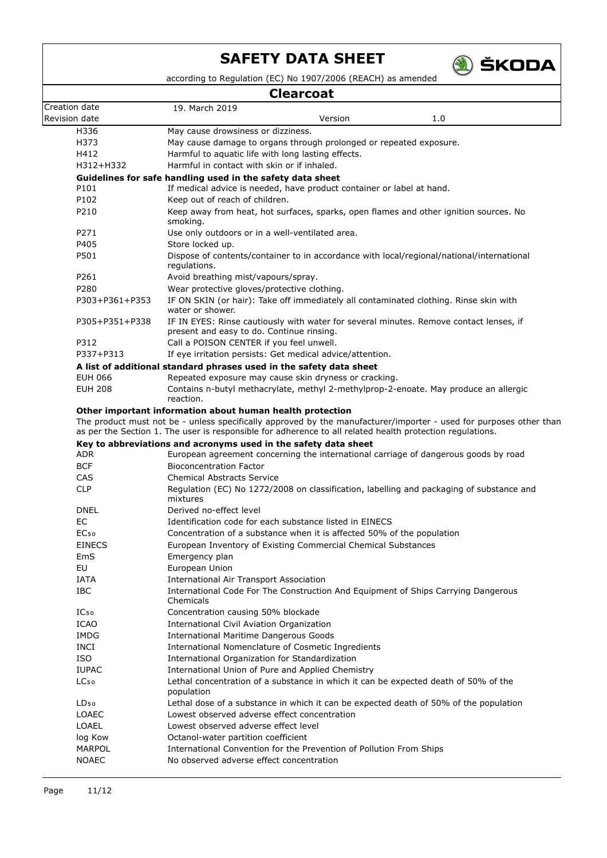

according to Regulation (EC) No 1907/2006 (REACH) as amended

## **Clearcoat**

| Clearcoat        |                                                                                                                                     |  |  |  |
|------------------|-------------------------------------------------------------------------------------------------------------------------------------|--|--|--|
| Creation date    | 19. March 2019                                                                                                                      |  |  |  |
| Revision date    | Version<br>1.0                                                                                                                      |  |  |  |
| H336             | May cause drowsiness or dizziness.                                                                                                  |  |  |  |
| H373             | May cause damage to organs through prolonged or repeated exposure.                                                                  |  |  |  |
| H412             | Harmful to aquatic life with long lasting effects.                                                                                  |  |  |  |
| H312+H332        | Harmful in contact with skin or if inhaled.                                                                                         |  |  |  |
|                  | Guidelines for safe handling used in the safety data sheet                                                                          |  |  |  |
| P101             | If medical advice is needed, have product container or label at hand.                                                               |  |  |  |
| P102             | Keep out of reach of children.                                                                                                      |  |  |  |
| P210             | Keep away from heat, hot surfaces, sparks, open flames and other ignition sources. No<br>smoking.                                   |  |  |  |
| P271             | Use only outdoors or in a well-ventilated area.                                                                                     |  |  |  |
| P405             | Store locked up.                                                                                                                    |  |  |  |
| P501             | Dispose of contents/container to in accordance with local/regional/national/international<br>regulations.                           |  |  |  |
| P261             | Avoid breathing mist/vapours/spray.                                                                                                 |  |  |  |
| P280             | Wear protective gloves/protective clothing.                                                                                         |  |  |  |
| P303+P361+P353   | IF ON SKIN (or hair): Take off immediately all contaminated clothing. Rinse skin with<br>water or shower.                           |  |  |  |
| P305+P351+P338   | IF IN EYES: Rinse cautiously with water for several minutes. Remove contact lenses, if<br>present and easy to do. Continue rinsing. |  |  |  |
| P312             | Call a POISON CENTER if you feel unwell.                                                                                            |  |  |  |
| P337+P313        | If eye irritation persists: Get medical advice/attention.                                                                           |  |  |  |
|                  | A list of additional standard phrases used in the safety data sheet                                                                 |  |  |  |
| <b>EUH 066</b>   | Repeated exposure may cause skin dryness or cracking.                                                                               |  |  |  |
| <b>EUH 208</b>   | Contains n-butyl methacrylate, methyl 2-methylprop-2-enoate. May produce an allergic<br>reaction.                                   |  |  |  |
|                  | Other important information about human health protection                                                                           |  |  |  |
|                  | The product must not be - unless specifically approved by the manufacturer/importer - used for purposes other than                  |  |  |  |
|                  | as per the Section 1. The user is responsible for adherence to all related health protection regulations.                           |  |  |  |
|                  | Key to abbreviations and acronyms used in the safety data sheet                                                                     |  |  |  |
| ADR              | European agreement concerning the international carriage of dangerous goods by road                                                 |  |  |  |
| <b>BCF</b>       | <b>Bioconcentration Factor</b>                                                                                                      |  |  |  |
| CAS              | <b>Chemical Abstracts Service</b>                                                                                                   |  |  |  |
| <b>CLP</b>       | Regulation (EC) No 1272/2008 on classification, labelling and packaging of substance and<br>mixtures                                |  |  |  |
| DNEL             | Derived no-effect level                                                                                                             |  |  |  |
| EC.              | Identification code for each substance listed in EINECS                                                                             |  |  |  |
| EC <sub>50</sub> | Concentration of a substance when it is affected 50% of the population                                                              |  |  |  |
| <b>EINECS</b>    | European Inventory of Existing Commercial Chemical Substances                                                                       |  |  |  |
| EmS              | Emergency plan                                                                                                                      |  |  |  |
| EU               | European Union                                                                                                                      |  |  |  |
| <b>IATA</b>      | <b>International Air Transport Association</b>                                                                                      |  |  |  |
| <b>IBC</b>       | International Code For The Construction And Equipment of Ships Carrying Dangerous<br>Chemicals                                      |  |  |  |
| IC <sub>50</sub> | Concentration causing 50% blockade                                                                                                  |  |  |  |
| ICAO             | International Civil Aviation Organization                                                                                           |  |  |  |
| <b>IMDG</b>      | <b>International Maritime Dangerous Goods</b>                                                                                       |  |  |  |
| <b>INCI</b>      | International Nomenclature of Cosmetic Ingredients                                                                                  |  |  |  |
| <b>ISO</b>       | International Organization for Standardization                                                                                      |  |  |  |
| <b>IUPAC</b>     | International Union of Pure and Applied Chemistry                                                                                   |  |  |  |
| LC <sub>50</sub> | Lethal concentration of a substance in which it can be expected death of 50% of the<br>population                                   |  |  |  |
| LD <sub>50</sub> | Lethal dose of a substance in which it can be expected death of 50% of the population                                               |  |  |  |
| <b>LOAEC</b>     | Lowest observed adverse effect concentration                                                                                        |  |  |  |
| <b>LOAEL</b>     | Lowest observed adverse effect level                                                                                                |  |  |  |
| log Kow          | Octanol-water partition coefficient                                                                                                 |  |  |  |
| MARPOL           | International Convention for the Prevention of Pollution From Ships                                                                 |  |  |  |
| <b>NOAEC</b>     | No observed adverse effect concentration                                                                                            |  |  |  |
|                  |                                                                                                                                     |  |  |  |